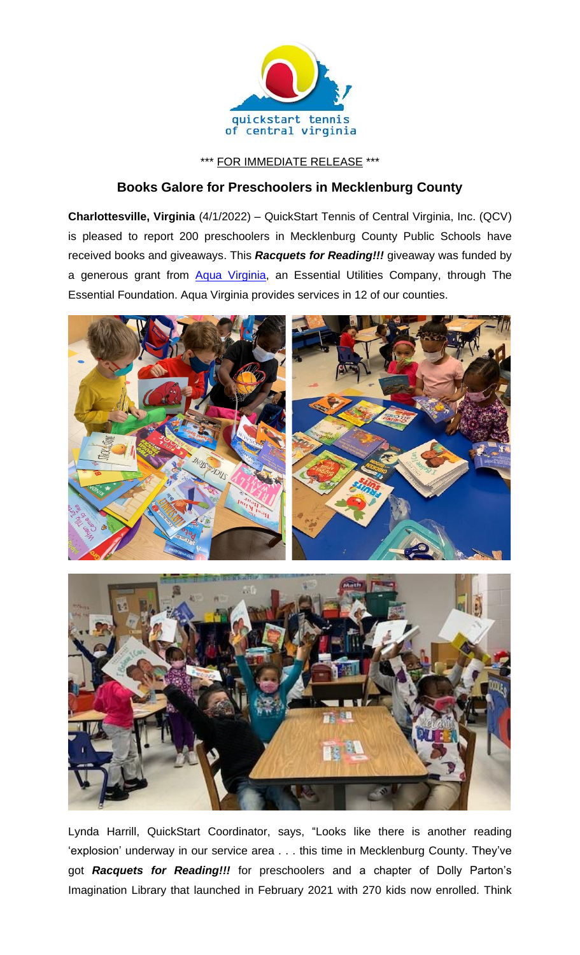

\*\*\* FOR IMMEDIATE RELEASE \*\*\*

## **Books Galore for Preschoolers in Mecklenburg County**

**Charlottesville, Virginia** (4/1/2022) – QuickStart Tennis of Central Virginia, Inc. (QCV) is pleased to report 200 preschoolers in Mecklenburg County Public Schools have received books and giveaways. This *Racquets for Reading!!!* giveaway was funded by a generous grant from [Aqua Virginia,](https://www.aquaamerica.com/our-states/virginia.aspx) an Essential Utilities Company, through The Essential Foundation. Aqua Virginia provides services in 12 of our counties.





Lynda Harrill, QuickStart Coordinator, says, "Looks like there is another reading 'explosion' underway in our service area . . . this time in Mecklenburg County. They've got *Racquets for Reading!!!* for preschoolers and a chapter of Dolly Parton's Imagination Library that launched in February 2021 with 270 kids now enrolled. Think